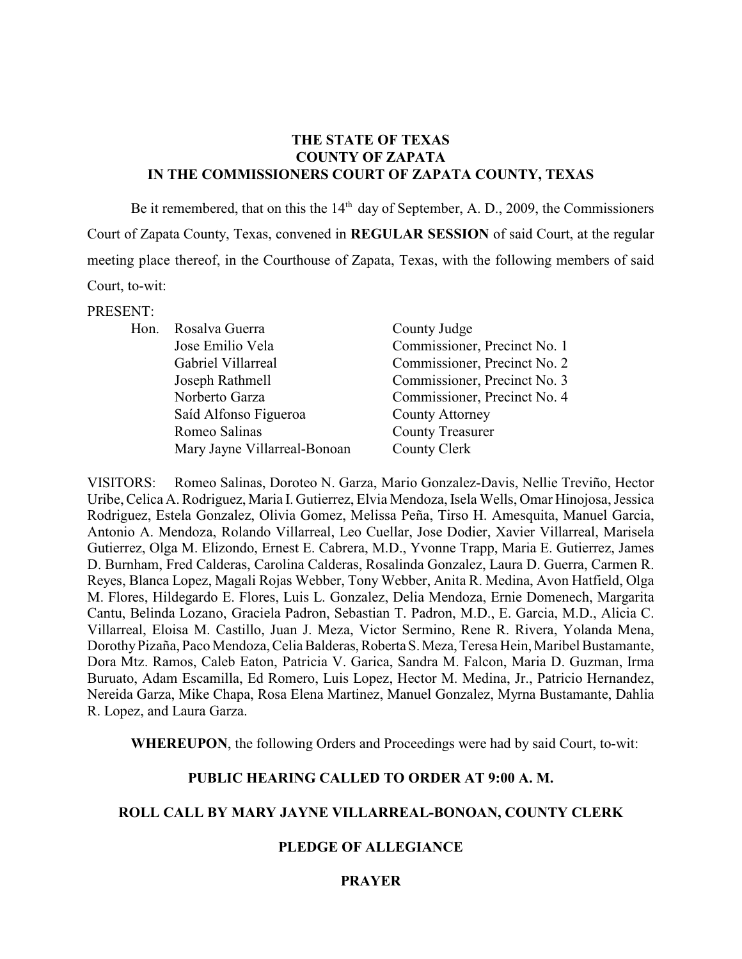### **THE STATE OF TEXAS COUNTY OF ZAPATA IN THE COMMISSIONERS COURT OF ZAPATA COUNTY, TEXAS**

Be it remembered, that on this the  $14<sup>th</sup>$  day of September, A. D., 2009, the Commissioners Court of Zapata County, Texas, convened in **REGULAR SESSION** of said Court, at the regular meeting place thereof, in the Courthouse of Zapata, Texas, with the following members of said Court, to-wit:

#### PRESENT:

| Hon. | Rosalva Guerra               | County Judge                 |
|------|------------------------------|------------------------------|
|      | Jose Emilio Vela             | Commissioner, Precinct No. 1 |
|      | Gabriel Villarreal           | Commissioner, Precinct No. 2 |
|      | Joseph Rathmell              | Commissioner, Precinct No. 3 |
|      | Norberto Garza               | Commissioner, Precinct No. 4 |
|      | Saíd Alfonso Figueroa        | <b>County Attorney</b>       |
|      | Romeo Salinas                | <b>County Treasurer</b>      |
|      | Mary Jayne Villarreal-Bonoan | County Clerk                 |

VISITORS: Romeo Salinas, Doroteo N. Garza, Mario Gonzalez-Davis, Nellie Treviño, Hector Uribe, Celica A. Rodriguez, Maria I. Gutierrez, Elvia Mendoza, Isela Wells, Omar Hinojosa, Jessica Rodriguez, Estela Gonzalez, Olivia Gomez, Melissa Peña, Tirso H. Amesquita, Manuel Garcia, Antonio A. Mendoza, Rolando Villarreal, Leo Cuellar, Jose Dodier, Xavier Villarreal, Marisela Gutierrez, Olga M. Elizondo, Ernest E. Cabrera, M.D., Yvonne Trapp, Maria E. Gutierrez, James D. Burnham, Fred Calderas, Carolina Calderas, Rosalinda Gonzalez, Laura D. Guerra, Carmen R. Reyes, Blanca Lopez, Magali Rojas Webber, Tony Webber, Anita R. Medina, Avon Hatfield, Olga M. Flores, Hildegardo E. Flores, Luis L. Gonzalez, Delia Mendoza, Ernie Domenech, Margarita Cantu, Belinda Lozano, Graciela Padron, Sebastian T. Padron, M.D., E. Garcia, M.D., Alicia C. Villarreal, Eloisa M. Castillo, Juan J. Meza, Victor Sermino, Rene R. Rivera, Yolanda Mena, Dorothy Pizaña, Paco Mendoza, Celia Balderas, Roberta S. Meza, Teresa Hein, Maribel Bustamante, Dora Mtz. Ramos, Caleb Eaton, Patricia V. Garica, Sandra M. Falcon, Maria D. Guzman, Irma Buruato, Adam Escamilla, Ed Romero, Luis Lopez, Hector M. Medina, Jr., Patricio Hernandez, Nereida Garza, Mike Chapa, Rosa Elena Martinez, Manuel Gonzalez, Myrna Bustamante, Dahlia R. Lopez, and Laura Garza.

**WHEREUPON**, the following Orders and Proceedings were had by said Court, to-wit:

### **PUBLIC HEARING CALLED TO ORDER AT 9:00 A. M.**

#### **ROLL CALL BY MARY JAYNE VILLARREAL-BONOAN, COUNTY CLERK**

#### **PLEDGE OF ALLEGIANCE**

#### **PRAYER**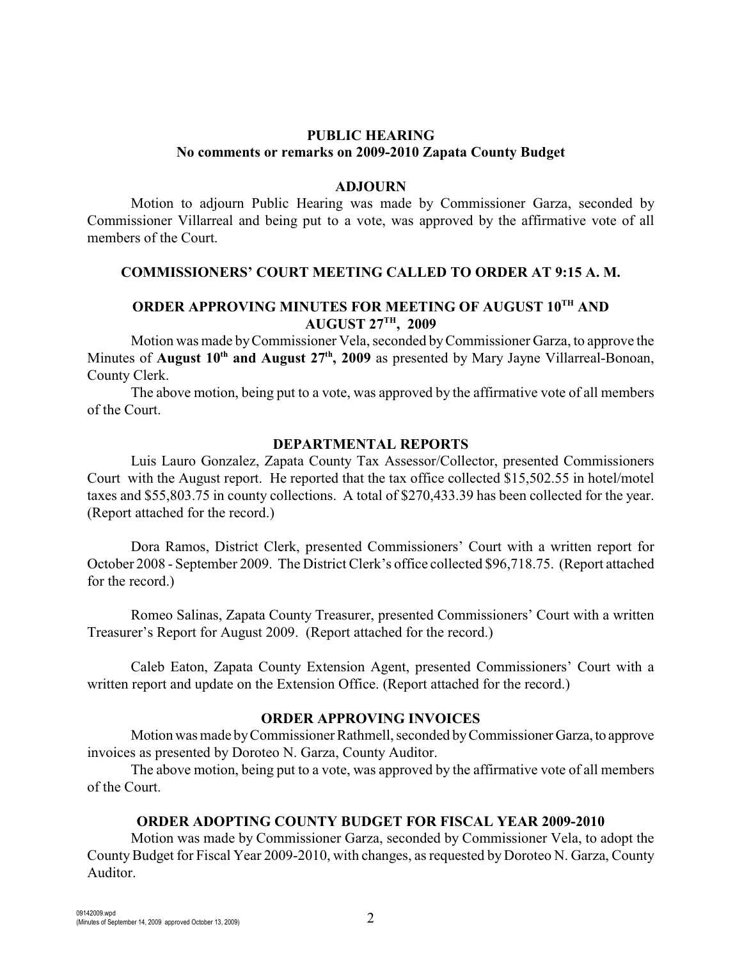# **PUBLIC HEARING No comments or remarks on 2009-2010 Zapata County Budget**

#### **ADJOURN**

Motion to adjourn Public Hearing was made by Commissioner Garza, seconded by Commissioner Villarreal and being put to a vote, was approved by the affirmative vote of all members of the Court.

### **COMMISSIONERS' COURT MEETING CALLED TO ORDER AT 9:15 A. M.**

# **ORDER APPROVING MINUTES FOR MEETING OF AUGUST 10TH AND AUGUST 27TH, 2009**

Motion was made by Commissioner Vela, seconded by Commissioner Garza, to approve the Minutes of **August 10<sup>th</sup> and August 27<sup>th</sup>, 2009** as presented by Mary Jayne Villarreal-Bonoan, County Clerk.

The above motion, being put to a vote, was approved by the affirmative vote of all members of the Court.

#### **DEPARTMENTAL REPORTS**

Luis Lauro Gonzalez, Zapata County Tax Assessor/Collector, presented Commissioners Court with the August report. He reported that the tax office collected \$15,502.55 in hotel/motel taxes and \$55,803.75 in county collections. A total of \$270,433.39 has been collected for the year. (Report attached for the record.)

Dora Ramos, District Clerk, presented Commissioners' Court with a written report for October 2008 - September 2009. The District Clerk's office collected \$96,718.75. (Report attached for the record.)

Romeo Salinas, Zapata County Treasurer, presented Commissioners' Court with a written Treasurer's Report for August 2009. (Report attached for the record.)

Caleb Eaton, Zapata County Extension Agent, presented Commissioners' Court with a written report and update on the Extension Office. (Report attached for the record.)

#### **ORDER APPROVING INVOICES**

Motion was made by Commissioner Rathmell, seconded by Commissioner Garza, to approve invoices as presented by Doroteo N. Garza, County Auditor.

The above motion, being put to a vote, was approved by the affirmative vote of all members of the Court.

# **ORDER ADOPTING COUNTY BUDGET FOR FISCAL YEAR 2009-2010**

Motion was made by Commissioner Garza, seconded by Commissioner Vela, to adopt the County Budget for Fiscal Year 2009-2010, with changes, as requested by Doroteo N. Garza, County Auditor.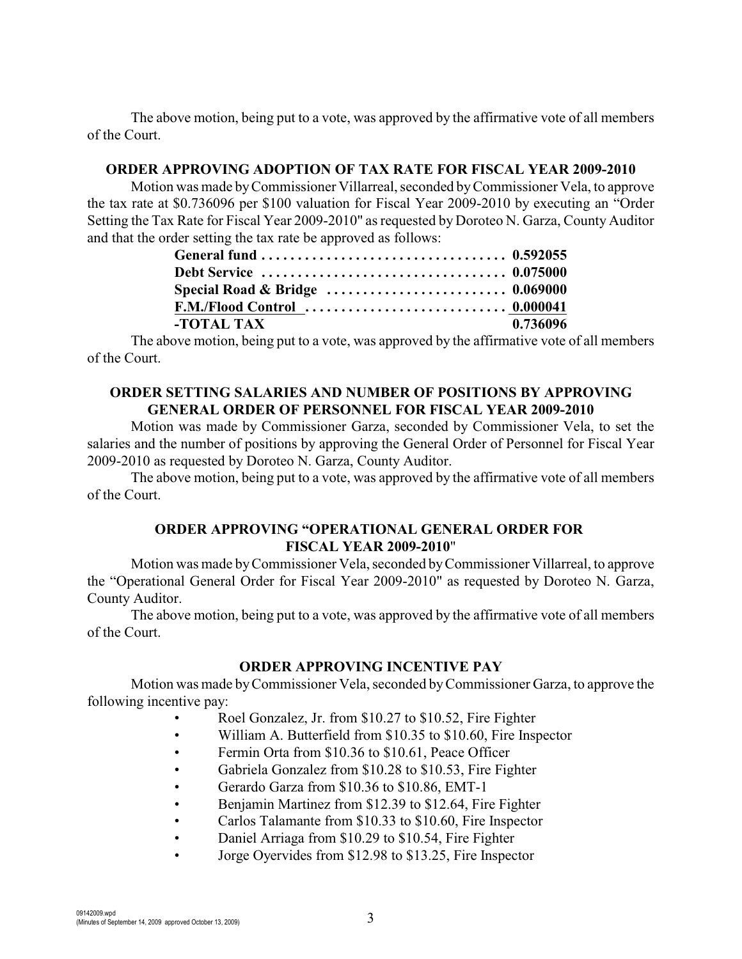The above motion, being put to a vote, was approved by the affirmative vote of all members of the Court.

#### **ORDER APPROVING ADOPTION OF TAX RATE FOR FISCAL YEAR 2009-2010**

Motion was made byCommissioner Villarreal, seconded by Commissioner Vela, to approve the tax rate at \$0.736096 per \$100 valuation for Fiscal Year 2009-2010 by executing an "Order Setting the Tax Rate for Fiscal Year 2009-2010" as requested by Doroteo N. Garza, County Auditor and that the order setting the tax rate be approved as follows:

| -TOTAL TAX | 0.736096 |
|------------|----------|

The above motion, being put to a vote, was approved by the affirmative vote of all members of the Court.

# **ORDER SETTING SALARIES AND NUMBER OF POSITIONS BY APPROVING GENERAL ORDER OF PERSONNEL FOR FISCAL YEAR 2009-2010**

Motion was made by Commissioner Garza, seconded by Commissioner Vela, to set the salaries and the number of positions by approving the General Order of Personnel for Fiscal Year 2009-2010 as requested by Doroteo N. Garza, County Auditor.

The above motion, being put to a vote, was approved by the affirmative vote of all members of the Court.

#### **ORDER APPROVING "OPERATIONAL GENERAL ORDER FOR FISCAL YEAR 2009-2010**"

Motion was made by Commissioner Vela, seconded byCommissioner Villarreal, to approve the "Operational General Order for Fiscal Year 2009-2010" as requested by Doroteo N. Garza, County Auditor.

The above motion, being put to a vote, was approved by the affirmative vote of all members of the Court.

#### **ORDER APPROVING INCENTIVE PAY**

Motion was made by Commissioner Vela, seconded by Commissioner Garza, to approve the following incentive pay:

- Roel Gonzalez, Jr. from \$10.27 to \$10.52, Fire Fighter
- William A. Butterfield from \$10.35 to \$10.60, Fire Inspector
- Fermin Orta from \$10.36 to \$10.61, Peace Officer
- Gabriela Gonzalez from \$10.28 to \$10.53, Fire Fighter
- Gerardo Garza from \$10.36 to \$10.86, EMT-1
- Benjamin Martinez from \$12.39 to \$12.64, Fire Fighter
- Carlos Talamante from \$10.33 to \$10.60, Fire Inspector
- Daniel Arriaga from \$10.29 to \$10.54, Fire Fighter
- Jorge Oyervides from \$12.98 to \$13.25, Fire Inspector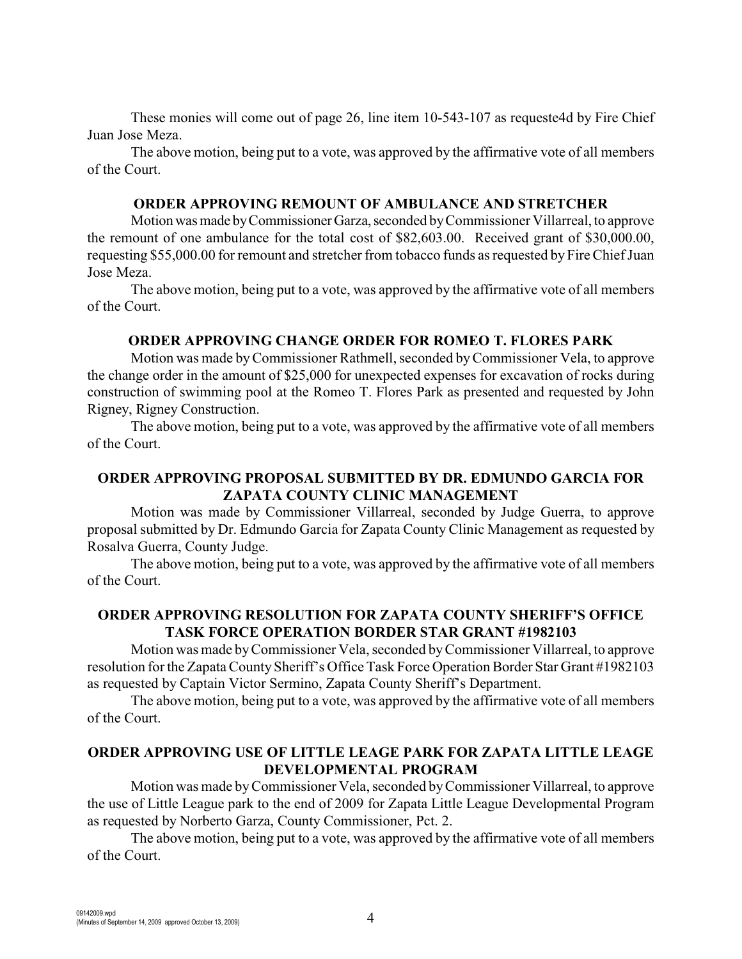These monies will come out of page 26, line item 10-543-107 as requeste4d by Fire Chief Juan Jose Meza.

The above motion, being put to a vote, was approved by the affirmative vote of all members of the Court.

#### **ORDER APPROVING REMOUNT OF AMBULANCE AND STRETCHER**

Motion was made by Commissioner Garza, seconded by Commissioner Villarreal, to approve the remount of one ambulance for the total cost of \$82,603.00. Received grant of \$30,000.00, requesting \$55,000.00 for remount and stretcher from tobacco funds as requested by Fire Chief Juan Jose Meza.

The above motion, being put to a vote, was approved by the affirmative vote of all members of the Court.

#### **ORDER APPROVING CHANGE ORDER FOR ROMEO T. FLORES PARK**

Motion was made by Commissioner Rathmell, seconded by Commissioner Vela, to approve the change order in the amount of \$25,000 for unexpected expenses for excavation of rocks during construction of swimming pool at the Romeo T. Flores Park as presented and requested by John Rigney, Rigney Construction.

The above motion, being put to a vote, was approved by the affirmative vote of all members of the Court.

# **ORDER APPROVING PROPOSAL SUBMITTED BY DR. EDMUNDO GARCIA FOR ZAPATA COUNTY CLINIC MANAGEMENT**

Motion was made by Commissioner Villarreal, seconded by Judge Guerra, to approve proposal submitted by Dr. Edmundo Garcia for Zapata County Clinic Management as requested by Rosalva Guerra, County Judge.

The above motion, being put to a vote, was approved by the affirmative vote of all members of the Court.

# **ORDER APPROVING RESOLUTION FOR ZAPATA COUNTY SHERIFF'S OFFICE TASK FORCE OPERATION BORDER STAR GRANT #1982103**

Motion was made byCommissioner Vela, seconded byCommissioner Villarreal, to approve resolution for the Zapata County Sheriff's Office Task Force Operation Border Star Grant #1982103 as requested by Captain Victor Sermino, Zapata County Sheriff's Department.

The above motion, being put to a vote, was approved by the affirmative vote of all members of the Court.

# **ORDER APPROVING USE OF LITTLE LEAGE PARK FOR ZAPATA LITTLE LEAGE DEVELOPMENTAL PROGRAM**

Motion was made byCommissioner Vela, seconded by Commissioner Villarreal, to approve the use of Little League park to the end of 2009 for Zapata Little League Developmental Program as requested by Norberto Garza, County Commissioner, Pct. 2.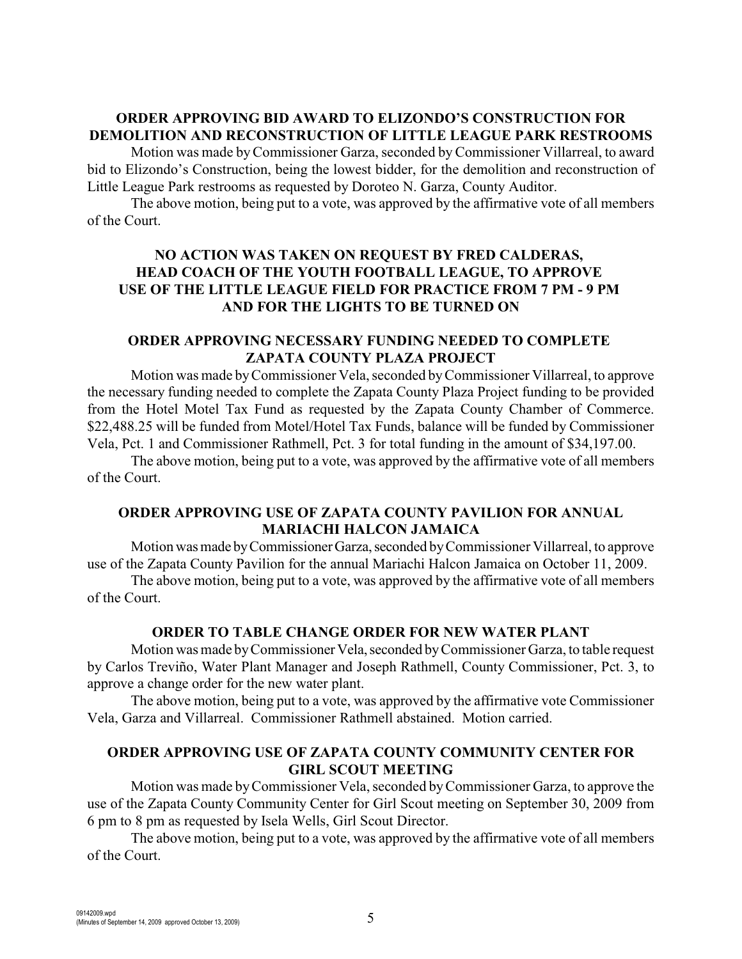# **ORDER APPROVING BID AWARD TO ELIZONDO'S CONSTRUCTION FOR DEMOLITION AND RECONSTRUCTION OF LITTLE LEAGUE PARK RESTROOMS**

Motion was made by Commissioner Garza, seconded by Commissioner Villarreal, to award bid to Elizondo's Construction, being the lowest bidder, for the demolition and reconstruction of Little League Park restrooms as requested by Doroteo N. Garza, County Auditor.

The above motion, being put to a vote, was approved by the affirmative vote of all members of the Court.

# **NO ACTION WAS TAKEN ON REQUEST BY FRED CALDERAS, HEAD COACH OF THE YOUTH FOOTBALL LEAGUE, TO APPROVE USE OF THE LITTLE LEAGUE FIELD FOR PRACTICE FROM 7 PM - 9 PM AND FOR THE LIGHTS TO BE TURNED ON**

### **ORDER APPROVING NECESSARY FUNDING NEEDED TO COMPLETE ZAPATA COUNTY PLAZA PROJECT**

Motion was made byCommissioner Vela, seconded by Commissioner Villarreal, to approve the necessary funding needed to complete the Zapata County Plaza Project funding to be provided from the Hotel Motel Tax Fund as requested by the Zapata County Chamber of Commerce. \$22,488.25 will be funded from Motel/Hotel Tax Funds, balance will be funded by Commissioner Vela, Pct. 1 and Commissioner Rathmell, Pct. 3 for total funding in the amount of \$34,197.00.

The above motion, being put to a vote, was approved by the affirmative vote of all members of the Court.

# **ORDER APPROVING USE OF ZAPATA COUNTY PAVILION FOR ANNUAL MARIACHI HALCON JAMAICA**

Motion was made by Commissioner Garza, seconded by Commissioner Villarreal, to approve use of the Zapata County Pavilion for the annual Mariachi Halcon Jamaica on October 11, 2009.

The above motion, being put to a vote, was approved by the affirmative vote of all members of the Court.

# **ORDER TO TABLE CHANGE ORDER FOR NEW WATER PLANT**

Motion was made by Commissioner Vela, seconded by Commissioner Garza, to table request by Carlos Treviño, Water Plant Manager and Joseph Rathmell, County Commissioner, Pct. 3, to approve a change order for the new water plant.

The above motion, being put to a vote, was approved by the affirmative vote Commissioner Vela, Garza and Villarreal. Commissioner Rathmell abstained. Motion carried.

# **ORDER APPROVING USE OF ZAPATA COUNTY COMMUNITY CENTER FOR GIRL SCOUT MEETING**

Motion was made by Commissioner Vela, seconded by Commissioner Garza, to approve the use of the Zapata County Community Center for Girl Scout meeting on September 30, 2009 from 6 pm to 8 pm as requested by Isela Wells, Girl Scout Director.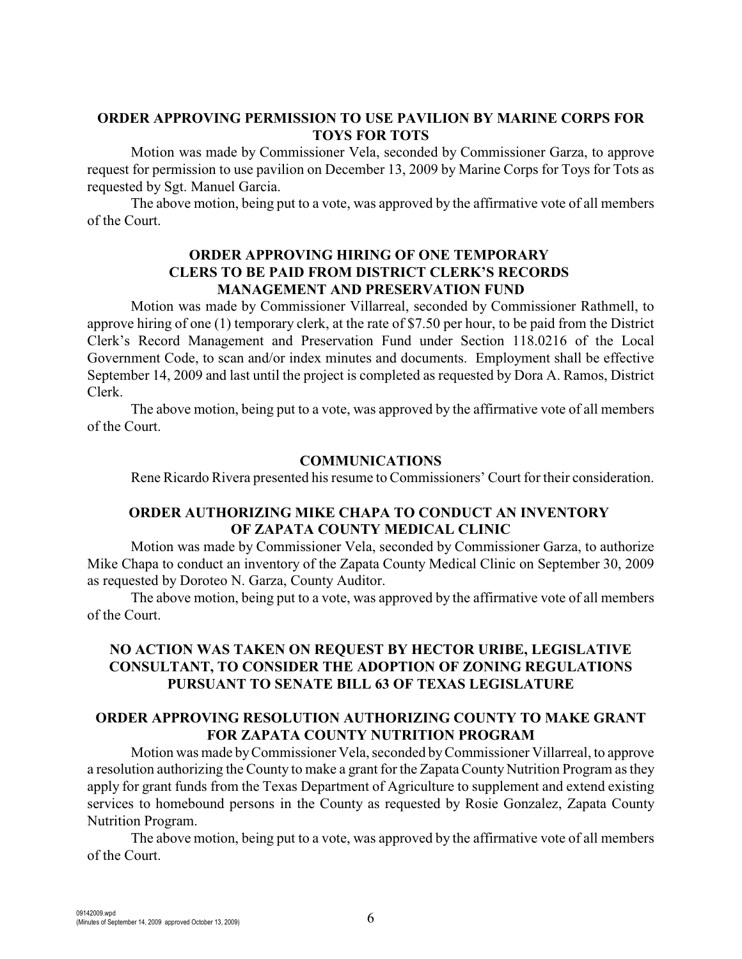### **ORDER APPROVING PERMISSION TO USE PAVILION BY MARINE CORPS FOR TOYS FOR TOTS**

Motion was made by Commissioner Vela, seconded by Commissioner Garza, to approve request for permission to use pavilion on December 13, 2009 by Marine Corps for Toys for Tots as requested by Sgt. Manuel Garcia.

The above motion, being put to a vote, was approved by the affirmative vote of all members of the Court.

### **ORDER APPROVING HIRING OF ONE TEMPORARY CLERS TO BE PAID FROM DISTRICT CLERK'S RECORDS MANAGEMENT AND PRESERVATION FUND**

Motion was made by Commissioner Villarreal, seconded by Commissioner Rathmell, to approve hiring of one (1) temporary clerk, at the rate of \$7.50 per hour, to be paid from the District Clerk's Record Management and Preservation Fund under Section 118.0216 of the Local Government Code, to scan and/or index minutes and documents. Employment shall be effective September 14, 2009 and last until the project is completed as requested by Dora A. Ramos, District Clerk.

The above motion, being put to a vote, was approved by the affirmative vote of all members of the Court.

### **COMMUNICATIONS**

Rene Ricardo Rivera presented his resume to Commissioners' Court for their consideration.

# **ORDER AUTHORIZING MIKE CHAPA TO CONDUCT AN INVENTORY OF ZAPATA COUNTY MEDICAL CLINIC**

Motion was made by Commissioner Vela, seconded by Commissioner Garza, to authorize Mike Chapa to conduct an inventory of the Zapata County Medical Clinic on September 30, 2009 as requested by Doroteo N. Garza, County Auditor.

The above motion, being put to a vote, was approved by the affirmative vote of all members of the Court.

### **NO ACTION WAS TAKEN ON REQUEST BY HECTOR URIBE, LEGISLATIVE CONSULTANT, TO CONSIDER THE ADOPTION OF ZONING REGULATIONS PURSUANT TO SENATE BILL 63 OF TEXAS LEGISLATURE**

### **ORDER APPROVING RESOLUTION AUTHORIZING COUNTY TO MAKE GRANT FOR ZAPATA COUNTY NUTRITION PROGRAM**

Motion was made byCommissioner Vela, seconded by Commissioner Villarreal, to approve a resolution authorizing the County to make a grant for the Zapata County Nutrition Program as they apply for grant funds from the Texas Department of Agriculture to supplement and extend existing services to homebound persons in the County as requested by Rosie Gonzalez, Zapata County Nutrition Program.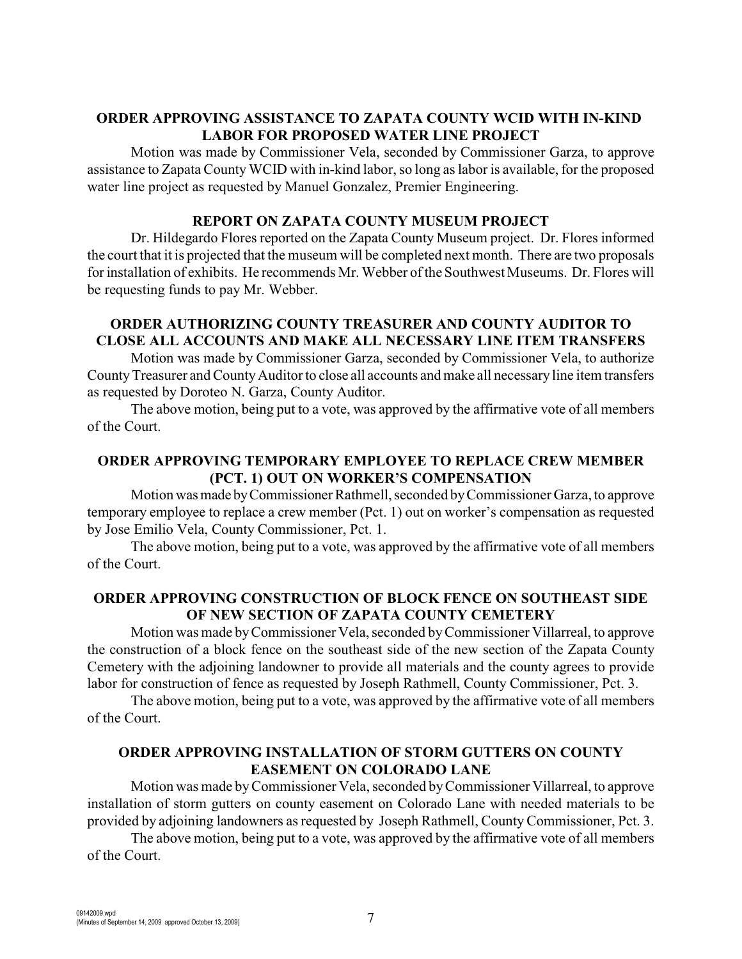## **ORDER APPROVING ASSISTANCE TO ZAPATA COUNTY WCID WITH IN-KIND LABOR FOR PROPOSED WATER LINE PROJECT**

Motion was made by Commissioner Vela, seconded by Commissioner Garza, to approve assistance to Zapata County WCID with in-kind labor, so long as labor is available, for the proposed water line project as requested by Manuel Gonzalez, Premier Engineering.

### **REPORT ON ZAPATA COUNTY MUSEUM PROJECT**

Dr. Hildegardo Flores reported on the Zapata County Museum project. Dr. Flores informed the court that it is projected that the museum will be completed next month. There are two proposals for installation of exhibits. He recommends Mr. Webber of the Southwest Museums. Dr. Flores will be requesting funds to pay Mr. Webber.

# **ORDER AUTHORIZING COUNTY TREASURER AND COUNTY AUDITOR TO CLOSE ALL ACCOUNTS AND MAKE ALL NECESSARY LINE ITEM TRANSFERS**

Motion was made by Commissioner Garza, seconded by Commissioner Vela, to authorize County Treasurer and County Auditor to close all accounts and make all necessary line item transfers as requested by Doroteo N. Garza, County Auditor.

The above motion, being put to a vote, was approved by the affirmative vote of all members of the Court.

# **ORDER APPROVING TEMPORARY EMPLOYEE TO REPLACE CREW MEMBER (PCT. 1) OUT ON WORKER'S COMPENSATION**

Motion was made by Commissioner Rathmell, seconded by Commissioner Garza, to approve temporary employee to replace a crew member (Pct. 1) out on worker's compensation as requested by Jose Emilio Vela, County Commissioner, Pct. 1.

The above motion, being put to a vote, was approved by the affirmative vote of all members of the Court.

### **ORDER APPROVING CONSTRUCTION OF BLOCK FENCE ON SOUTHEAST SIDE OF NEW SECTION OF ZAPATA COUNTY CEMETERY**

Motion was made byCommissioner Vela, seconded by Commissioner Villarreal, to approve the construction of a block fence on the southeast side of the new section of the Zapata County Cemetery with the adjoining landowner to provide all materials and the county agrees to provide labor for construction of fence as requested by Joseph Rathmell, County Commissioner, Pct. 3.

The above motion, being put to a vote, was approved by the affirmative vote of all members of the Court.

# **ORDER APPROVING INSTALLATION OF STORM GUTTERS ON COUNTY EASEMENT ON COLORADO LANE**

Motion was made byCommissioner Vela, seconded by Commissioner Villarreal, to approve installation of storm gutters on county easement on Colorado Lane with needed materials to be provided by adjoining landowners as requested by Joseph Rathmell, County Commissioner, Pct. 3.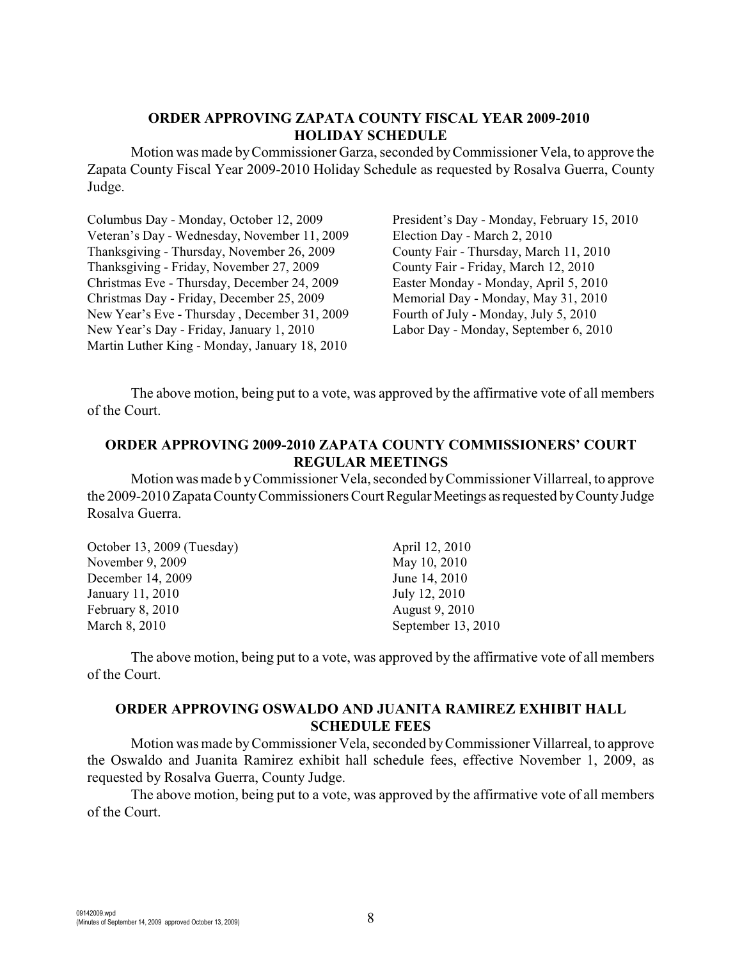### **ORDER APPROVING ZAPATA COUNTY FISCAL YEAR 2009-2010 HOLIDAY SCHEDULE**

Motion was made by Commissioner Garza, seconded by Commissioner Vela, to approve the Zapata County Fiscal Year 2009-2010 Holiday Schedule as requested by Rosalva Guerra, County Judge.

Columbus Day - Monday, October 12, 2009 Veteran's Day - Wednesday, November 11, 2009 Thanksgiving - Thursday, November 26, 2009 Thanksgiving - Friday, November 27, 2009 Christmas Eve - Thursday, December 24, 2009 Christmas Day - Friday, December 25, 2009 New Year's Eve - Thursday , December 31, 2009 New Year's Day - Friday, January 1, 2010 Martin Luther King - Monday, January 18, 2010

President's Day - Monday, February 15, 2010 Election Day - March 2, 2010 County Fair - Thursday, March 11, 2010 County Fair - Friday, March 12, 2010 Easter Monday - Monday, April 5, 2010 Memorial Day - Monday, May 31, 2010 Fourth of July - Monday, July 5, 2010 Labor Day - Monday, September 6, 2010

The above motion, being put to a vote, was approved by the affirmative vote of all members of the Court.

### **ORDER APPROVING 2009-2010 ZAPATA COUNTY COMMISSIONERS' COURT REGULAR MEETINGS**

Motion was made b yCommissioner Vela, seconded by Commissioner Villarreal, to approve the 2009-2010 Zapata County Commissioners Court Regular Meetings as requested by County Judge Rosalva Guerra.

| October 13, 2009 (Tuesday) | April 12, 2010     |
|----------------------------|--------------------|
| November 9, 2009           | May 10, 2010       |
| December 14, 2009          | June 14, 2010      |
| January 11, 2010           | July 12, 2010      |
| <b>February 8, 2010</b>    | August 9, 2010     |
| March 8, 2010              | September 13, 2010 |

The above motion, being put to a vote, was approved by the affirmative vote of all members of the Court.

### **ORDER APPROVING OSWALDO AND JUANITA RAMIREZ EXHIBIT HALL SCHEDULE FEES**

Motion was made byCommissioner Vela, seconded by Commissioner Villarreal, to approve the Oswaldo and Juanita Ramirez exhibit hall schedule fees, effective November 1, 2009, as requested by Rosalva Guerra, County Judge.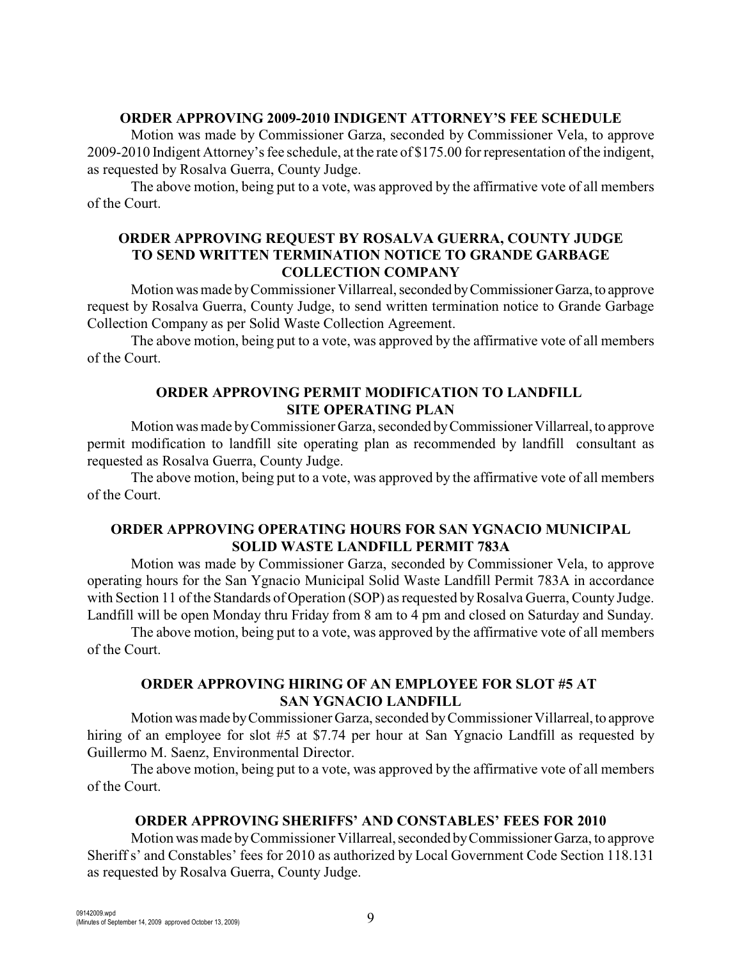#### **ORDER APPROVING 2009-2010 INDIGENT ATTORNEY'S FEE SCHEDULE**

Motion was made by Commissioner Garza, seconded by Commissioner Vela, to approve 2009-2010 Indigent Attorney's fee schedule, at the rate of \$175.00 for representation of the indigent, as requested by Rosalva Guerra, County Judge.

The above motion, being put to a vote, was approved by the affirmative vote of all members of the Court.

### **ORDER APPROVING REQUEST BY ROSALVA GUERRA, COUNTY JUDGE TO SEND WRITTEN TERMINATION NOTICE TO GRANDE GARBAGE COLLECTION COMPANY**

Motion was made by Commissioner Villarreal, seconded by Commissioner Garza, to approve request by Rosalva Guerra, County Judge, to send written termination notice to Grande Garbage Collection Company as per Solid Waste Collection Agreement.

The above motion, being put to a vote, was approved by the affirmative vote of all members of the Court.

# **ORDER APPROVING PERMIT MODIFICATION TO LANDFILL SITE OPERATING PLAN**

Motion was made by Commissioner Garza, seconded by Commissioner Villarreal, to approve permit modification to landfill site operating plan as recommended by landfill consultant as requested as Rosalva Guerra, County Judge.

The above motion, being put to a vote, was approved by the affirmative vote of all members of the Court.

### **ORDER APPROVING OPERATING HOURS FOR SAN YGNACIO MUNICIPAL SOLID WASTE LANDFILL PERMIT 783A**

Motion was made by Commissioner Garza, seconded by Commissioner Vela, to approve operating hours for the San Ygnacio Municipal Solid Waste Landfill Permit 783A in accordance with Section 11 of the Standards of Operation (SOP) as requested by Rosalva Guerra, County Judge. Landfill will be open Monday thru Friday from 8 am to 4 pm and closed on Saturday and Sunday.

The above motion, being put to a vote, was approved by the affirmative vote of all members of the Court.

# **ORDER APPROVING HIRING OF AN EMPLOYEE FOR SLOT #5 AT SAN YGNACIO LANDFILL**

Motion was made by Commissioner Garza, seconded by Commissioner Villarreal, to approve hiring of an employee for slot #5 at \$7.74 per hour at San Ygnacio Landfill as requested by Guillermo M. Saenz, Environmental Director.

The above motion, being put to a vote, was approved by the affirmative vote of all members of the Court.

# **ORDER APPROVING SHERIFFS' AND CONSTABLES' FEES FOR 2010**

Motion was made by Commissioner Villarreal, seconded by Commissioner Garza, to approve Sheriff s' and Constables' fees for 2010 as authorized by Local Government Code Section 118.131 as requested by Rosalva Guerra, County Judge.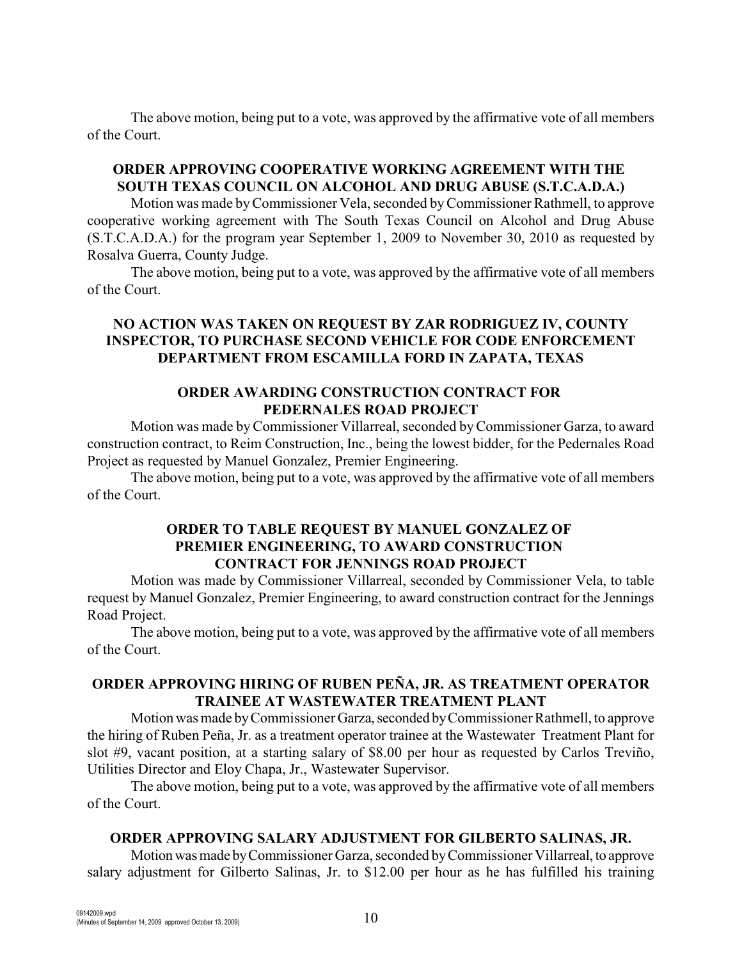The above motion, being put to a vote, was approved by the affirmative vote of all members of the Court.

### **ORDER APPROVING COOPERATIVE WORKING AGREEMENT WITH THE SOUTH TEXAS COUNCIL ON ALCOHOL AND DRUG ABUSE (S.T.C.A.D.A.)**

Motion was made byCommissioner Vela, seconded byCommissioner Rathmell, to approve cooperative working agreement with The South Texas Council on Alcohol and Drug Abuse (S.T.C.A.D.A.) for the program year September 1, 2009 to November 30, 2010 as requested by Rosalva Guerra, County Judge.

The above motion, being put to a vote, was approved by the affirmative vote of all members of the Court.

# **NO ACTION WAS TAKEN ON REQUEST BY ZAR RODRIGUEZ IV, COUNTY INSPECTOR, TO PURCHASE SECOND VEHICLE FOR CODE ENFORCEMENT DEPARTMENT FROM ESCAMILLA FORD IN ZAPATA, TEXAS**

# **ORDER AWARDING CONSTRUCTION CONTRACT FOR PEDERNALES ROAD PROJECT**

Motion was made byCommissioner Villarreal, seconded by Commissioner Garza, to award construction contract, to Reim Construction, Inc., being the lowest bidder, for the Pedernales Road Project as requested by Manuel Gonzalez, Premier Engineering.

The above motion, being put to a vote, was approved by the affirmative vote of all members of the Court.

## **ORDER TO TABLE REQUEST BY MANUEL GONZALEZ OF PREMIER ENGINEERING, TO AWARD CONSTRUCTION CONTRACT FOR JENNINGS ROAD PROJECT**

Motion was made by Commissioner Villarreal, seconded by Commissioner Vela, to table request by Manuel Gonzalez, Premier Engineering, to award construction contract for the Jennings Road Project.

The above motion, being put to a vote, was approved by the affirmative vote of all members of the Court.

# **ORDER APPROVING HIRING OF RUBEN PEÑA, JR. AS TREATMENT OPERATOR TRAINEE AT WASTEWATER TREATMENT PLANT**

Motion was made by Commissioner Garza, seconded by Commissioner Rathmell, to approve the hiring of Ruben Peña, Jr. as a treatment operator trainee at the Wastewater Treatment Plant for slot #9, vacant position, at a starting salary of \$8.00 per hour as requested by Carlos Treviño, Utilities Director and Eloy Chapa, Jr., Wastewater Supervisor.

The above motion, being put to a vote, was approved by the affirmative vote of all members of the Court.

#### **ORDER APPROVING SALARY ADJUSTMENT FOR GILBERTO SALINAS, JR.**

Motion was made by Commissioner Garza, seconded by Commissioner Villarreal, to approve salary adjustment for Gilberto Salinas, Jr. to \$12.00 per hour as he has fulfilled his training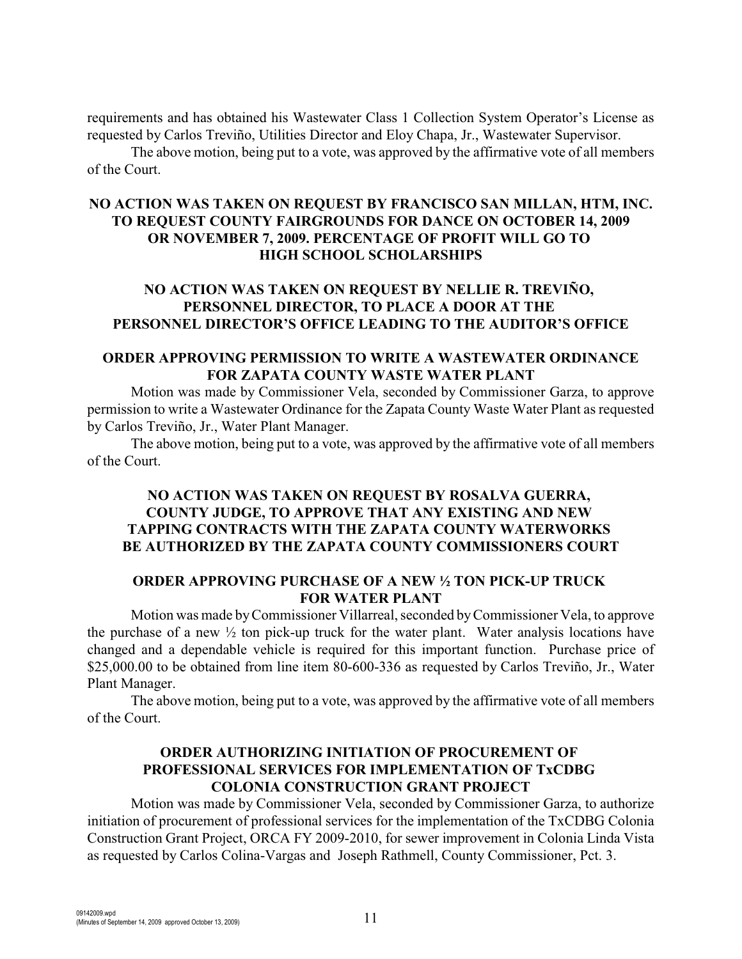requirements and has obtained his Wastewater Class 1 Collection System Operator's License as requested by Carlos Treviño, Utilities Director and Eloy Chapa, Jr., Wastewater Supervisor.

The above motion, being put to a vote, was approved by the affirmative vote of all members of the Court.

### **NO ACTION WAS TAKEN ON REQUEST BY FRANCISCO SAN MILLAN, HTM, INC. TO REQUEST COUNTY FAIRGROUNDS FOR DANCE ON OCTOBER 14, 2009 OR NOVEMBER 7, 2009. PERCENTAGE OF PROFIT WILL GO TO HIGH SCHOOL SCHOLARSHIPS**

# **NO ACTION WAS TAKEN ON REQUEST BY NELLIE R. TREVIÑO, PERSONNEL DIRECTOR, TO PLACE A DOOR AT THE PERSONNEL DIRECTOR'S OFFICE LEADING TO THE AUDITOR'S OFFICE**

#### **ORDER APPROVING PERMISSION TO WRITE A WASTEWATER ORDINANCE FOR ZAPATA COUNTY WASTE WATER PLANT**

Motion was made by Commissioner Vela, seconded by Commissioner Garza, to approve permission to write a Wastewater Ordinance for the Zapata County Waste Water Plant as requested by Carlos Treviño, Jr., Water Plant Manager.

The above motion, being put to a vote, was approved by the affirmative vote of all members of the Court.

## **NO ACTION WAS TAKEN ON REQUEST BY ROSALVA GUERRA, COUNTY JUDGE, TO APPROVE THAT ANY EXISTING AND NEW TAPPING CONTRACTS WITH THE ZAPATA COUNTY WATERWORKS BE AUTHORIZED BY THE ZAPATA COUNTY COMMISSIONERS COURT**

# **ORDER APPROVING PURCHASE OF A NEW ½ TON PICK-UP TRUCK FOR WATER PLANT**

Motion was made by Commissioner Villarreal, seconded byCommissioner Vela, to approve the purchase of a new  $\frac{1}{2}$  ton pick-up truck for the water plant. Water analysis locations have changed and a dependable vehicle is required for this important function. Purchase price of \$25,000.00 to be obtained from line item 80-600-336 as requested by Carlos Treviño, Jr., Water Plant Manager.

The above motion, being put to a vote, was approved by the affirmative vote of all members of the Court.

# **ORDER AUTHORIZING INITIATION OF PROCUREMENT OF PROFESSIONAL SERVICES FOR IMPLEMENTATION OF TxCDBG COLONIA CONSTRUCTION GRANT PROJECT**

Motion was made by Commissioner Vela, seconded by Commissioner Garza, to authorize initiation of procurement of professional services for the implementation of the TxCDBG Colonia Construction Grant Project, ORCA FY 2009-2010, for sewer improvement in Colonia Linda Vista as requested by Carlos Colina-Vargas and Joseph Rathmell, County Commissioner, Pct. 3.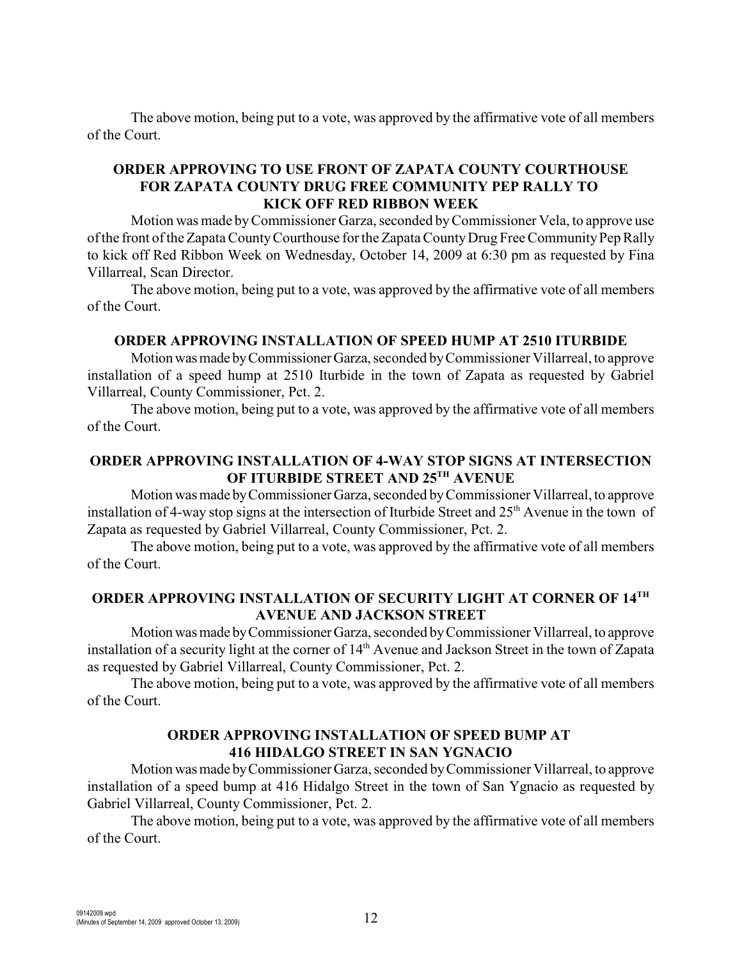The above motion, being put to a vote, was approved by the affirmative vote of all members of the Court.

### **ORDER APPROVING TO USE FRONT OF ZAPATA COUNTY COURTHOUSE FOR ZAPATA COUNTY DRUG FREE COMMUNITY PEP RALLY TO KICK OFF RED RIBBON WEEK**

Motion was made byCommissioner Garza, seconded by Commissioner Vela, to approve use of the front of the Zapata County Courthouse for the Zapata County Drug Free Community Pep Rally to kick off Red Ribbon Week on Wednesday, October 14, 2009 at 6:30 pm as requested by Fina Villarreal, Scan Director.

The above motion, being put to a vote, was approved by the affirmative vote of all members of the Court.

### **ORDER APPROVING INSTALLATION OF SPEED HUMP AT 2510 ITURBIDE**

Motion was made by Commissioner Garza, seconded by Commissioner Villarreal, to approve installation of a speed hump at 2510 Iturbide in the town of Zapata as requested by Gabriel Villarreal, County Commissioner, Pct. 2.

The above motion, being put to a vote, was approved by the affirmative vote of all members of the Court.

### **ORDER APPROVING INSTALLATION OF 4-WAY STOP SIGNS AT INTERSECTION OF ITURBIDE STREET AND 25TH AVENUE**

Motion was made by Commissioner Garza, seconded by Commissioner Villarreal, to approve installation of 4-way stop signs at the intersection of Iturbide Street and  $25<sup>th</sup>$  Avenue in the town of Zapata as requested by Gabriel Villarreal, County Commissioner, Pct. 2.

The above motion, being put to a vote, was approved by the affirmative vote of all members of the Court.

### **ORDER APPROVING INSTALLATION OF SECURITY LIGHT AT CORNER OF 14TH AVENUE AND JACKSON STREET**

Motion was made by Commissioner Garza, seconded by Commissioner Villarreal, to approve installation of a security light at the corner of 14<sup>th</sup> Avenue and Jackson Street in the town of Zapata as requested by Gabriel Villarreal, County Commissioner, Pct. 2.

The above motion, being put to a vote, was approved by the affirmative vote of all members of the Court.

### **ORDER APPROVING INSTALLATION OF SPEED BUMP AT 416 HIDALGO STREET IN SAN YGNACIO**

Motion was made by Commissioner Garza, seconded by Commissioner Villarreal, to approve installation of a speed bump at 416 Hidalgo Street in the town of San Ygnacio as requested by Gabriel Villarreal, County Commissioner, Pct. 2.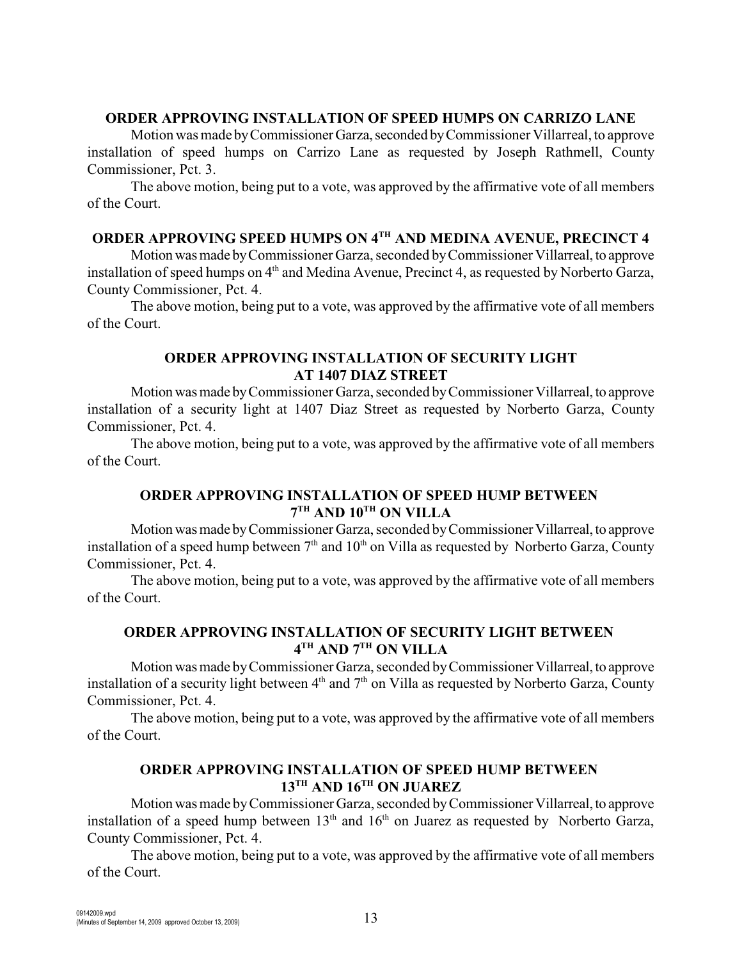### **ORDER APPROVING INSTALLATION OF SPEED HUMPS ON CARRIZO LANE**

Motion was made by Commissioner Garza, seconded by Commissioner Villarreal, to approve installation of speed humps on Carrizo Lane as requested by Joseph Rathmell, County Commissioner, Pct. 3.

The above motion, being put to a vote, was approved by the affirmative vote of all members of the Court.

# **ORDER APPROVING SPEED HUMPS ON 4TH AND MEDINA AVENUE, PRECINCT 4**

Motion was made by Commissioner Garza, seconded by Commissioner Villarreal, to approve installation of speed humps on  $4<sup>th</sup>$  and Medina Avenue, Precinct 4, as requested by Norberto Garza, County Commissioner, Pct. 4.

The above motion, being put to a vote, was approved by the affirmative vote of all members of the Court.

# **ORDER APPROVING INSTALLATION OF SECURITY LIGHT AT 1407 DIAZ STREET**

Motion was made by Commissioner Garza, seconded by Commissioner Villarreal, to approve installation of a security light at 1407 Diaz Street as requested by Norberto Garza, County Commissioner, Pct. 4.

The above motion, being put to a vote, was approved by the affirmative vote of all members of the Court.

# **ORDER APPROVING INSTALLATION OF SPEED HUMP BETWEEN**   $7<sup>TH</sup>$  **AND 10<sup>TH</sup> ON VILLA**

Motion was made by Commissioner Garza, seconded by Commissioner Villarreal, to approve installation of a speed hump between  $7<sup>th</sup>$  and  $10<sup>th</sup>$  on Villa as requested by Norberto Garza, County Commissioner, Pct. 4.

The above motion, being put to a vote, was approved by the affirmative vote of all members of the Court.

# **ORDER APPROVING INSTALLATION OF SECURITY LIGHT BETWEEN**   $4^{TH}$  AND  $7^{TH}$  ON VILLA

Motion was made by Commissioner Garza, seconded by Commissioner Villarreal, to approve installation of a security light between  $4<sup>th</sup>$  and  $7<sup>th</sup>$  on Villa as requested by Norberto Garza, County Commissioner, Pct. 4.

The above motion, being put to a vote, was approved by the affirmative vote of all members of the Court.

# **ORDER APPROVING INSTALLATION OF SPEED HUMP BETWEEN**   $13^{\text{TH}}$  AND  $16^{\text{TH}}$  ON JUAREZ

Motion was made by Commissioner Garza, seconded by Commissioner Villarreal, to approve installation of a speed hump between  $13<sup>th</sup>$  and  $16<sup>th</sup>$  on Juarez as requested by Norberto Garza, County Commissioner, Pct. 4.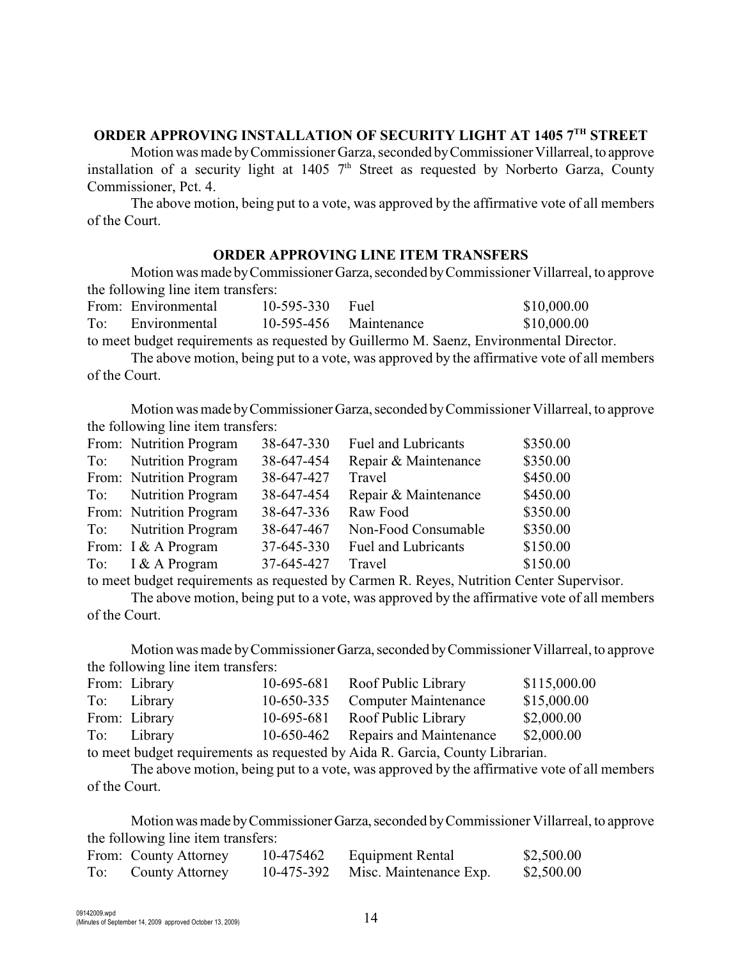## **ORDER APPROVING INSTALLATION OF SECURITY LIGHT AT 1405 7TH STREET**

Motion was made by Commissioner Garza, seconded by Commissioner Villarreal, to approve installation of a security light at 1405  $7<sup>th</sup>$  Street as requested by Norberto Garza, County Commissioner, Pct. 4.

The above motion, being put to a vote, was approved by the affirmative vote of all members of the Court.

#### **ORDER APPROVING LINE ITEM TRANSFERS**

Motion was made by Commissioner Garza, seconded by Commissioner Villarreal, to approve the following line item transfers:

From: Environmental 10-595-330 Fuel \$10,000.00 To: Environmental 10-595-456 Maintenance \$10,000.00

to meet budget requirements as requested by Guillermo M. Saenz, Environmental Director.

The above motion, being put to a vote, was approved by the affirmative vote of all members of the Court.

Motion was made by Commissioner Garza, seconded by Commissioner Villarreal, to approve the following line item transfers:

| From: Nutrition Program | 38-647-330 | Fuel and Lubricants        | \$350.00 |
|-------------------------|------------|----------------------------|----------|
| To: Nutrition Program   | 38-647-454 | Repair & Maintenance       | \$350.00 |
| From: Nutrition Program | 38-647-427 | Travel                     | \$450.00 |
| To: Nutrition Program   | 38-647-454 | Repair & Maintenance       | \$450.00 |
| From: Nutrition Program | 38-647-336 | Raw Food                   | \$350.00 |
| To: Nutrition Program   | 38-647-467 | Non-Food Consumable        | \$350.00 |
| From: I & A Program     | 37-645-330 | <b>Fuel and Lubricants</b> | \$150.00 |
| To: I & A Program       | 37-645-427 | Travel                     | \$150.00 |

to meet budget requirements as requested by Carmen R. Reyes, Nutrition Center Supervisor.

The above motion, being put to a vote, was approved by the affirmative vote of all members of the Court.

Motion was made by Commissioner Garza, seconded by Commissioner Villarreal, to approve the following line item transfers:

|                                        | From: Library | 10-695-681 Roof Public Library                                               | \$115,000.00 |
|----------------------------------------|---------------|------------------------------------------------------------------------------|--------------|
|                                        | To: Library   | 10-650-335 Computer Maintenance                                              | \$15,000.00  |
|                                        | From: Library | 10-695-681 Roof Public Library                                               | \$2,000.00   |
|                                        | To: Library   | 10-650-462 Repairs and Maintenance                                           | \$2,000.00   |
| $\sim$ $\sim$ $\sim$ $\sim$ 1 $\sim$ 1 |               | $\sim$ 11 $\sim$ 10 $\sim$ 11 $\sim$ 11 $\sim$ 11 $\sim$ 11 $\sim$ 11 $\sim$ |              |

to meet budget requirements as requested by Aida R. Garcia, County Librarian.

The above motion, being put to a vote, was approved by the affirmative vote of all members of the Court.

Motion was made by Commissioner Garza, seconded by Commissioner Villarreal, to approve the following line item transfers:

|     | From: County Attorney | 10-475462  | Equipment Rental       | \$2,500.00 |
|-----|-----------------------|------------|------------------------|------------|
| To: | County Attorney       | 10-475-392 | Misc. Maintenance Exp. | \$2,500.00 |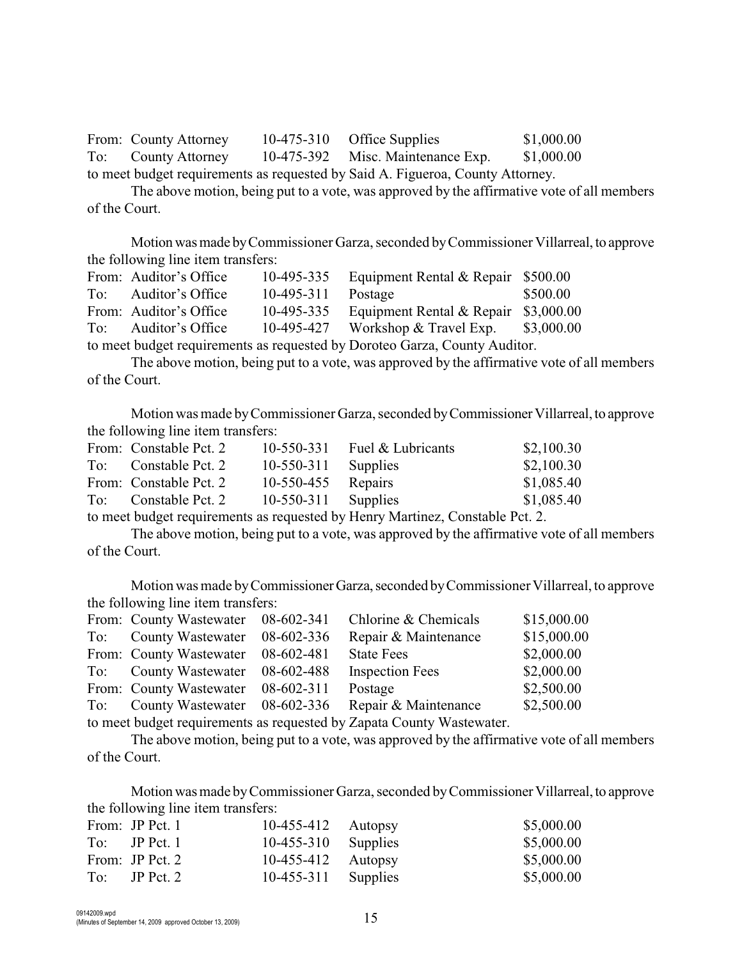From: County Attorney 10-475-310 Office Supplies \$1,000.00 To: County Attorney 10-475-392 Misc. Maintenance Exp. \$1,000.00 to meet budget requirements as requested by Said A. Figueroa, County Attorney.

The above motion, being put to a vote, was approved by the affirmative vote of all members of the Court.

Motion was made by Commissioner Garza, seconded by Commissioner Villarreal, to approve the following line item transfers:

|                                                                            | From: Auditor's Office | 10-495-335   | Equipment Rental & Repair \$500.00           |          |
|----------------------------------------------------------------------------|------------------------|--------------|----------------------------------------------|----------|
| To:                                                                        | Auditor's Office       | $10-495-311$ | Postage                                      | \$500.00 |
|                                                                            | From: Auditor's Office | 10-495-335   | Equipment Rental & Repair \$3,000.00         |          |
| To:                                                                        | Auditor's Office       |              | 10-495-427 Workshop & Travel Exp. \$3,000.00 |          |
| to meet budget requirements as requested by Doroteo Garza, County Auditor. |                        |              |                                              |          |

The above motion, being put to a vote, was approved by the affirmative vote of all members of the Court.

Motion was made by Commissioner Garza, seconded by Commissioner Villarreal, to approve the following line item transfers:

| From: Constable Pct. 2 |                       | 10-550-331 Fuel $&$ Lubricants | \$2,100.30 |
|------------------------|-----------------------|--------------------------------|------------|
| To: Constable Pct. 2   | $10-550-311$ Supplies |                                | \$2,100.30 |
| From: Constable Pct. 2 | 10-550-455 Repairs    |                                | \$1,085.40 |
| To: Constable Pct. 2   | $10-550-311$ Supplies |                                | \$1,085.40 |
|                        |                       |                                |            |

to meet budget requirements as requested by Henry Martinez, Constable Pct. 2.

The above motion, being put to a vote, was approved by the affirmative vote of all members of the Court.

Motion was made by Commissioner Garza, seconded by Commissioner Villarreal, to approve the following line item transfers:

| From: County Wastewater 08-602-341 | Chlorine & Chemicals                                                 | \$15,000.00 |
|------------------------------------|----------------------------------------------------------------------|-------------|
| To: County Wastewater 08-602-336   | Repair & Maintenance                                                 | \$15,000.00 |
| From: County Wastewater 08-602-481 | <b>State Fees</b>                                                    | \$2,000.00  |
| To: County Wastewater 08-602-488   | <b>Inspection Fees</b>                                               | \$2,000.00  |
| From: County Wastewater 08-602-311 | Postage                                                              | \$2,500.00  |
| To: County Wastewater 08-602-336   | Repair & Maintenance                                                 | \$2,500.00  |
|                                    | to meet budget requirements as requested by Zenate County Westernton |             |

to meet budget requirements as requested by Zapata County Wastewater.

The above motion, being put to a vote, was approved by the affirmative vote of all members of the Court.

Motion was made by Commissioner Garza, seconded by Commissioner Villarreal, to approve the following line item transfers:

|     | From: JP Pct. 1 | $10-455-412$ Autopsy  | \$5,000.00 |
|-----|-----------------|-----------------------|------------|
|     | $To:$ JP Pct. 1 | $10-455-310$ Supplies | \$5,000.00 |
|     | From: JP Pct. 2 | $10-455-412$ Autopsy  | \$5,000.00 |
| To: | $IP$ Pct. 2     | $10-455-311$ Supplies | \$5,000.00 |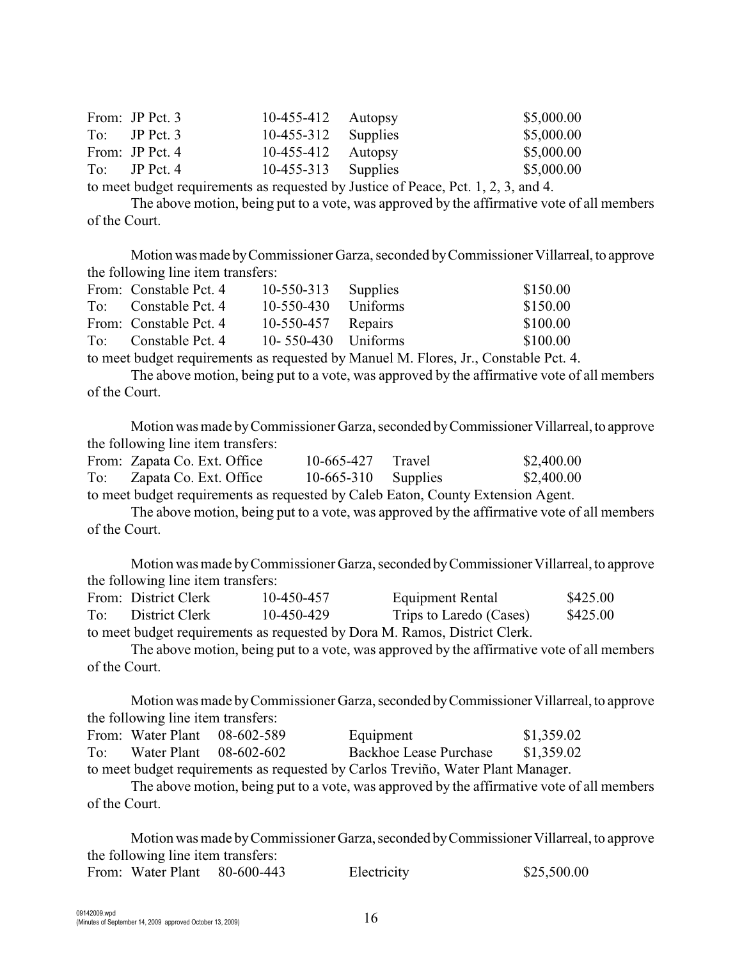| From: JP Pct. 3 | $10-455-412$ Autopsy  | \$5,000.00 |
|-----------------|-----------------------|------------|
| $To:$ JP Pct. 3 | $10-455-312$ Supplies | \$5,000.00 |
| From: JP Pct. 4 | $10-455-412$ Autopsy  | \$5,000.00 |
| $To:$ JP Pct. 4 | $10-455-313$ Supplies | \$5,000.00 |
|                 |                       |            |

to meet budget requirements as requested by Justice of Peace, Pct. 1, 2, 3, and 4.

The above motion, being put to a vote, was approved by the affirmative vote of all members of the Court.

Motion was made by Commissioner Garza, seconded by Commissioner Villarreal, to approve the following line item transfers:

| From: Constable Pct. 4 | $10-550-313$ Supplies  | \$150.00 |
|------------------------|------------------------|----------|
| To: Constable Pct. 4   | $10-550-430$ Uniforms  | \$150.00 |
| From: Constable Pct. 4 | $10-550-457$ Repairs   | \$100.00 |
| To: Constable Pct. 4   | 10- $550-430$ Uniforms | \$100.00 |

to meet budget requirements as requested by Manuel M. Flores, Jr., Constable Pct. 4.

The above motion, being put to a vote, was approved by the affirmative vote of all members of the Court.

Motion was made by Commissioner Garza, seconded by Commissioner Villarreal, to approve the following line item transfers:

|     | From: Zapata Co. Ext. Office                                                     | 10-665-427 Travel     | \$2,400.00 |
|-----|----------------------------------------------------------------------------------|-----------------------|------------|
| To: | Zapata Co. Ext. Office                                                           | $10-665-310$ Supplies | \$2,400.00 |
|     | to meet budget requirements as requested by Caleb Eaton, County Extension Agent. |                       |            |

The above motion, being put to a vote, was approved by the affirmative vote of all members of the Court.

Motion was made by Commissioner Garza, seconded by Commissioner Villarreal, to approve the following line item transfers:

|     | From: District Clerk | 10-450-457 | Equipment Rental                                                          | \$425.00 |
|-----|----------------------|------------|---------------------------------------------------------------------------|----------|
| To: | District Clerk       | 10-450-429 | Trips to Laredo (Cases)                                                   | \$425.00 |
|     |                      |            | to most budget requirements as requested by Dore M, Damos, District Clerk |          |

to meet budget requirements as requested by Dora M. Ramos, District Clerk.

The above motion, being put to a vote, was approved by the affirmative vote of all members of the Court.

Motion was made by Commissioner Garza, seconded by Commissioner Villarreal, to approve the following line item transfers:

|                                                                                  | From: Water Plant $08-602-589$ |  | Equipment              | \$1,359.02 |  |
|----------------------------------------------------------------------------------|--------------------------------|--|------------------------|------------|--|
| To:                                                                              | Water Plant 08-602-602         |  | Backhoe Lease Purchase | \$1,359.02 |  |
| to meet budget requirements as requested by Carlos Treviño, Water Plant Manager. |                                |  |                        |            |  |

The above motion, being put to a vote, was approved by the affirmative vote of all members of the Court.

Motion was made by Commissioner Garza, seconded by Commissioner Villarreal, to approve the following line item transfers: From: Water Plant 80-600-443 Electricity \$25,500.00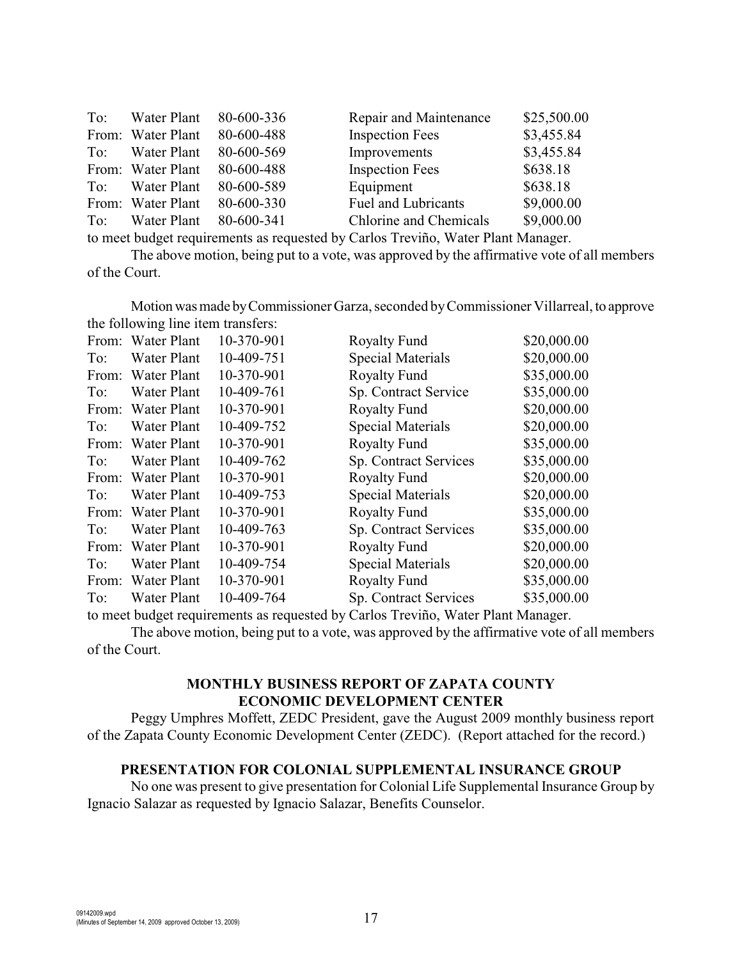| To: | Water Plant       | 80-600-336 | Repair and Maintenance | \$25,500.00 |
|-----|-------------------|------------|------------------------|-------------|
|     | From: Water Plant | 80-600-488 | <b>Inspection Fees</b> | \$3,455.84  |
| To: | Water Plant       | 80-600-569 | Improvements           | \$3,455.84  |
|     | From: Water Plant | 80-600-488 | <b>Inspection Fees</b> | \$638.18    |
| To: | Water Plant       | 80-600-589 | Equipment              | \$638.18    |
|     | From: Water Plant | 80-600-330 | Fuel and Lubricants    | \$9,000.00  |
| To: | Water Plant       | 80-600-341 | Chlorine and Chemicals | \$9,000.00  |
|     |                   |            |                        |             |

to meet budget requirements as requested by Carlos Treviño, Water Plant Manager.

The above motion, being put to a vote, was approved by the affirmative vote of all members of the Court.

Motion was made by Commissioner Garza, seconded by Commissioner Villarreal, to approve the following line item transfers:

| From: | Water Plant        | 10-370-901 | <b>Royalty Fund</b>      | \$20,000.00 |
|-------|--------------------|------------|--------------------------|-------------|
| To:   | Water Plant        | 10-409-751 | Special Materials        | \$20,000.00 |
| From: | <b>Water Plant</b> | 10-370-901 | <b>Royalty Fund</b>      | \$35,000.00 |
| To:   | Water Plant        | 10-409-761 | Sp. Contract Service     | \$35,000.00 |
| From: | Water Plant        | 10-370-901 | <b>Royalty Fund</b>      | \$20,000.00 |
| To:   | <b>Water Plant</b> | 10-409-752 | <b>Special Materials</b> | \$20,000.00 |
| From: | Water Plant        | 10-370-901 | <b>Royalty Fund</b>      | \$35,000.00 |
| To:   | Water Plant        | 10-409-762 | Sp. Contract Services    | \$35,000.00 |
| From: | <b>Water Plant</b> | 10-370-901 | <b>Royalty Fund</b>      | \$20,000.00 |
| To:   | Water Plant        | 10-409-753 | <b>Special Materials</b> | \$20,000.00 |
| From: | Water Plant        | 10-370-901 | <b>Royalty Fund</b>      | \$35,000.00 |
| To:   | Water Plant        | 10-409-763 | Sp. Contract Services    | \$35,000.00 |
| From: | Water Plant        | 10-370-901 | <b>Royalty Fund</b>      | \$20,000.00 |
| To:   | Water Plant        | 10-409-754 | Special Materials        | \$20,000.00 |
| From: | <b>Water Plant</b> | 10-370-901 | <b>Royalty Fund</b>      | \$35,000.00 |
| To:   | Water Plant        | 10-409-764 | Sp. Contract Services    | \$35,000.00 |

to meet budget requirements as requested by Carlos Treviño, Water Plant Manager.

The above motion, being put to a vote, was approved by the affirmative vote of all members of the Court.

### **MONTHLY BUSINESS REPORT OF ZAPATA COUNTY ECONOMIC DEVELOPMENT CENTER**

Peggy Umphres Moffett, ZEDC President, gave the August 2009 monthly business report of the Zapata County Economic Development Center (ZEDC). (Report attached for the record.)

#### **PRESENTATION FOR COLONIAL SUPPLEMENTAL INSURANCE GROUP**

No one was present to give presentation for Colonial Life Supplemental Insurance Group by Ignacio Salazar as requested by Ignacio Salazar, Benefits Counselor.